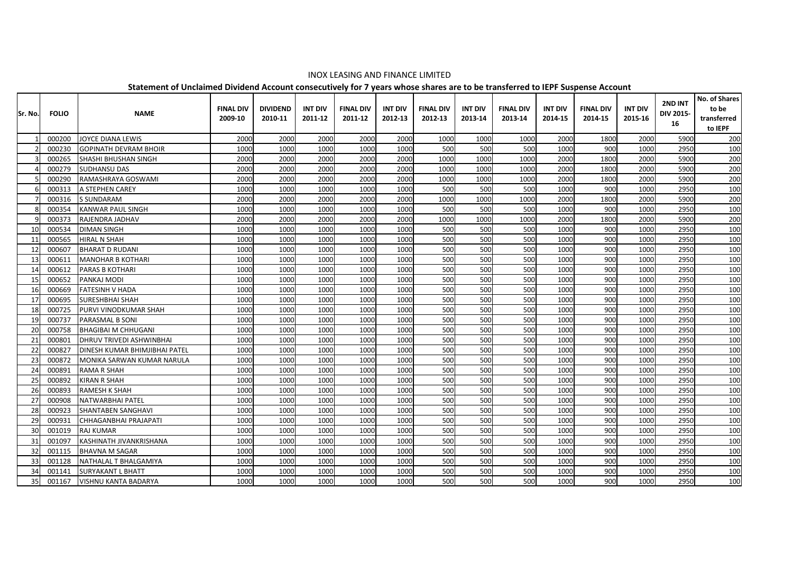|         |              |                               |                  |                 |                |                  |                |                  |                |                  |                |                  |                | 2ND INT   | No. of Shares |
|---------|--------------|-------------------------------|------------------|-----------------|----------------|------------------|----------------|------------------|----------------|------------------|----------------|------------------|----------------|-----------|---------------|
| Sr. No. | <b>FOLIO</b> | <b>NAME</b>                   | <b>FINAL DIV</b> | <b>DIVIDEND</b> | <b>INT DIV</b> | <b>FINAL DIV</b> | <b>INT DIV</b> | <b>FINAL DIV</b> | <b>INT DIV</b> | <b>FINAL DIV</b> | <b>INT DIV</b> | <b>FINAL DIV</b> | <b>INT DIV</b> | DIV 2015- | to be         |
|         |              |                               | 2009-10          | 2010-11         | 2011-12        | 2011-12          | 2012-13        | 2012-13          | 2013-14        | 2013-14          | 2014-15        | 2014-15          | 2015-16        | 16        | transferred   |
|         |              |                               |                  |                 |                |                  |                |                  |                |                  |                |                  |                |           | to IEPF       |
|         | 000200       | <b>JOYCE DIANA LEWIS</b>      | 2000             | 2000            | 2000           | 2000             | 2000           | 1000             | 1000           | 1000             | 2000           | 1800             | 2000           | 5900      | 200           |
|         | 000230       | <b>GOPINATH DEVRAM BHOIR</b>  | 1000             | 1000            | 1000           | 1000             | 1000           | 500              | 500            | 500              | 1000           | 900              | 1000           | 2950      | 100           |
|         | 000265       | SHASHI BHUSHAN SINGH          | 2000             | 2000            | 2000           | 2000             | 2000           | 1000             | 1000           | 1000             | 2000           | 1800             | 2000           | 5900      | 200           |
|         | 000279       | <b>SUDHANSU DAS</b>           | 2000             | 2000            | 2000           | 2000             | 2000           | 1000             | 1000           | 1000             | 2000           | 1800             | 2000           | 5900      | 200           |
|         | 000290       | RAMASHRAYA GOSWAMI            | 2000             | 2000            | 2000           | 2000             | 2000           | 1000             | 1000           | 1000             | 2000           | 1800             | 2000           | 5900      | 200           |
|         | 000313       | A STEPHEN CAREY               | 1000             | 1000            | 1000           | 1000             | 1000           | 500              | 500            | 500              | 1000           | 900              | 1000           | 2950      | 100           |
|         | 000316       | <b>S SUNDARAM</b>             | 2000             | 2000            | 2000           | 2000             | 2000           | 1000             | 1000           | 1000             | 2000           | 1800             | 2000           | 5900      | 200           |
|         | 000354       | <b>KANWAR PAUL SINGH</b>      | 1000             | 1000            | 1000           | 1000             | 1000           | 500              | 500            | 500              | 1000           | 900              | 1000           | 2950      | 100           |
|         | 000373       | RAJENDRA JADHAV               | 2000             | 2000            | 2000           | 2000             | 2000           | 1000             | 1000           | 1000             | 2000           | 1800             | 2000           | 5900      | 200           |
| 10      | 000534       | <b>DIMAN SINGH</b>            | 1000             | 1000            | 1000           | 1000             | 1000           | 500              | 500            | 500              | 1000           | 900              | 1000           | 2950      | 100           |
| 11      | 000565       | <b>HIRAL N SHAH</b>           | 1000             | 1000            | 1000           | 1000             | 1000           | 500              | 500            | 500              | 1000           | 900              | 1000           | 2950      | 100           |
| -12     | 000607       | <b>BHARAT D RUDANI</b>        | 1000             | 1000            | 1000           | 1000             | 1000           | 500              | 500            | 500              | 1000           | 900              | 1000           | 2950      | 100           |
| 13      | 000611       | <b>MANOHAR B KOTHARI</b>      | 1000             | 1000            | 1000           | 1000             | 1000           | 500              | 500            | 500              | 1000           | 900              | 1000           | 2950      | 100           |
| 14      | 000612       | <b>PARAS B KOTHARI</b>        | 1000             | 1000            | 1000           | 1000             | 1000           | 500              | 500            | 500              | 1000           | 900              | 1000           | 2950      | 100           |
|         | 000652       | PANKAJ MODI                   | 1000             | 1000            | 1000           | 1000             | 1000           | 500              | 500            | 500              | 1000           | 900              | 1000           | 2950      | 100           |
| 16      | 000669       | <b>FATESINH V HADA</b>        | 1000             | 1000            | 1000           | 1000             | 1000           | 500              | 500            | 500              | 1000           | 900              | 1000           | 2950      | 100           |
| 17      | 000695       | <b>SURESHBHAI SHAH</b>        | 1000             | 1000            | 1000           | 1000             | 1000           | 500              | 500            | 500              | 1000           | 900              | 1000           | 2950      | 100           |
| 18      | 000725       | PURVI VINODKUMAR SHAH         | 1000             | 1000            | 1000           | 1000             | 1000           | 500              | 500            | 500              | 1000           | 900              | 1000           | 2950      | 100           |
| 19      | 000737       | PARASMAL B SONI               | 1000             | 1000            | 1000           | 1000             | 1000           | 500              | 500            | 500              | 1000           | 900              | 1000           | 2950      | 100           |
| 20      | 000758       | <b>BHAGIBAI M CHHUGANI</b>    | 1000             | 1000            | 1000           | 1000             | 1000           | 500              | 500            | 500              | 1000           | 900              | 1000           | 2950      | 100           |
| 21      | 000801       | DHRUV TRIVEDI ASHWINBHAI      | 1000             | 1000            | 1000           | 1000             | 1000           | 500              | 500            | 500              | 1000           | 900              | 1000           | 2950      | 100           |
| 22      | 000827       | DINESH KUMAR BHIMJIBHAI PATEL | 1000             | 1000            | 1000           | 1000             | 1000           | 500              | 500            | 500              | 1000           | 900              | 1000           | 2950      | 100           |
| 23      | 000872       | MONIKA SARWAN KUMAR NARULA    | 1000             | 1000            | 1000           | 1000             | 1000           | 500              | 500            | 500              | 1000           | 900              | 1000           | 2950      | 100           |
| 24      | 000891       | <b>RAMA R SHAH</b>            | 1000             | 1000            | 1000           | 1000             | 1000           | 500              | 500            | 500              | 1000           | 900              | 1000           | 2950      | 100           |
| 25      | 000892       | <b>KIRAN R SHAH</b>           | 1000             | 1000            | 1000           | 1000             | 1000           | 500              | 500            | 500              | 1000           | 900              | 1000           | 2950      | 100           |
| 26      | 000893       | RAMESH K SHAH                 | 1000             | 1000            | 1000           | 1000             | 1000           | 500              | 500            | 500              | 1000           | 900              | 1000           | 2950      | 100           |
| 27      | 000908       | NATWARBHAI PATEL              | 1000             | 1000            | 1000           | 1000             | 1000           | 500              | 500            | 500              | 1000           | 900              | 1000           | 2950      | 100           |
| 28      | 000923       | SHANTABEN SANGHAVI            | 1000             | 1000            | 1000           | 1000             | 1000           | 500              | 500            | 500              | 1000           | 900              | 1000           | 2950      | 100           |
| 29      | 000931       | CHHAGANBHAI PRAJAPATI         | 1000             | 1000            | 1000           | 1000             | 1000           | 500              | 500            | 500              | 1000           | 900              | 1000           | 2950      | 100           |
| 30      | 001019       | <b>RAJ KUMAR</b>              | 1000             | 1000            | 1000           | 1000             | 1000           | 500              | 500            | 500              | 1000           | 900              | 1000           | 2950      | 100           |
| 31      | 001097       | KASHINATH JIVANKRISHANA       | 1000             | 1000            | 1000           | 1000             | 1000           | 500              | 500            | 500              | 1000           | 900              | 1000           | 2950      | 100           |
| 32      | 001115       | <b>BHAVNA M SAGAR</b>         | 1000             | 1000            | 1000           | 1000             | 1000           | 500              | 500            | 500              | 1000           | 900              | 1000           | 2950      | 100           |
| 33      | 001128       | NATHALAL T BHALGAMIYA         | 1000             | 1000            | 1000           | 1000             | 1000           | 500              | 500            | 500              | 1000           | 900              | 1000           | 2950      | 100           |
| 34      | 001141       | <b>SURYAKANT L BHATT</b>      | 1000             | 1000            | 1000           | 1000             | 1000           | 500              | 500            | 500              | 1000           | 900              | 1000           | 2950      | 100           |
| 35      | 001167       | VISHNU KANTA BADARYA          | 1000             | 1000            | 1000           | 1000             | 1000           | 500              | 500            | 500              | 1000           | 900              | 1000           | 2950      | 100           |

## INOX LEASING AND FINANCE LIMITED

**Statement of Unclaimed Dividend Account consecutively for 7 years whose shares are to be transferred to IEPF Suspense Account**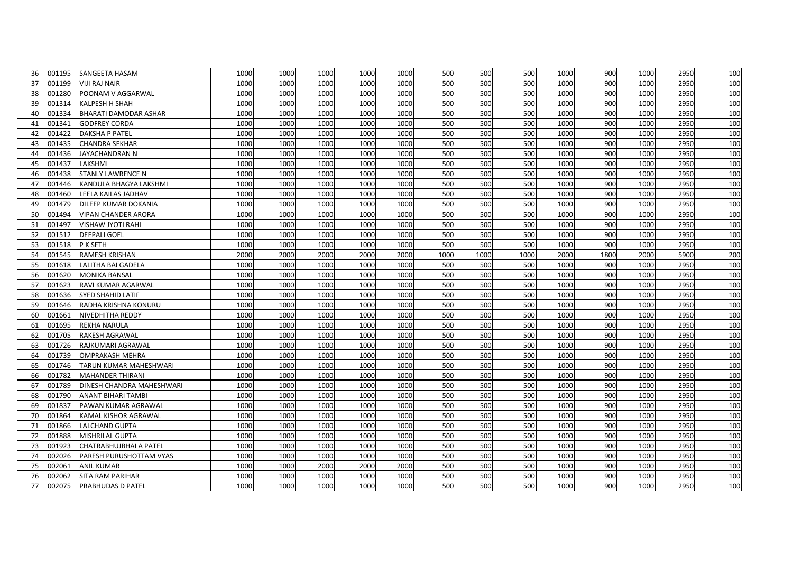| 36 | 001195 | SANGEETA HASAM             | 1000 | 1000 | 1000 | 1000 | 1000 | 500  | 500  | 500  | 1000 | 900  | 1000 | 2950 | 100 |
|----|--------|----------------------------|------|------|------|------|------|------|------|------|------|------|------|------|-----|
| 37 | 001199 | <b>VIJI RAJ NAIR</b>       | 1000 | 1000 | 1000 | 1000 | 1000 | 500  | 500  | 500  | 1000 | 900  | 1000 | 2950 | 100 |
| 38 | 001280 | POONAM V AGGARWAL          | 1000 | 1000 | 1000 | 1000 | 1000 | 500  | 500  | 500  | 1000 | 900  | 1000 | 2950 | 100 |
| 39 | 001314 | <b>KALPESH H SHAH</b>      | 1000 | 1000 | 1000 | 1000 | 1000 | 500  | 500  | 500  | 1000 | 900  | 1000 | 2950 | 100 |
| 40 | 001334 | BHARATI DAMODAR ASHAR      | 1000 | 1000 | 1000 | 1000 | 1000 | 500  | 500  | 500  | 1000 | 900  | 1000 | 2950 | 100 |
| 41 | 001341 | <b>GODFREY CORDA</b>       | 1000 | 1000 | 1000 | 1000 | 1000 | 500  | 500  | 500  | 1000 | 900  | 1000 | 2950 | 100 |
| 42 | 001422 | <b>DAKSHA P PATEL</b>      | 1000 | 1000 | 1000 | 1000 | 1000 | 500  | 500  | 500  | 1000 | 900  | 1000 | 2950 | 100 |
| 43 | 001435 | <b>CHANDRA SEKHAR</b>      | 1000 | 1000 | 1000 | 1000 | 1000 | 500  | 500  | 500  | 1000 | 900  | 1000 | 2950 | 100 |
| 44 | 001436 | JAYACHANDRAN N             | 1000 | 1000 | 1000 | 1000 | 1000 | 500  | 500  | 500  | 1000 | 900  | 1000 | 2950 | 100 |
| 45 | 001437 | LAKSHMI                    | 1000 | 1000 | 1000 | 1000 | 1000 | 500  | 500  | 500  | 1000 | 900  | 1000 | 2950 | 100 |
| 46 | 001438 | <b>STANLY LAWRENCE N</b>   | 1000 | 1000 | 1000 | 1000 | 1000 | 500  | 500  | 500  | 1000 | 900  | 1000 | 2950 | 100 |
| 47 | 001446 | KANDULA BHAGYA LAKSHMI     | 1000 | 1000 | 1000 | 1000 | 1000 | 500  | 500  | 500  | 1000 | 900  | 1000 | 2950 | 100 |
| 48 | 001460 | LEELA KAILAS JADHAV        | 1000 | 1000 | 1000 | 1000 | 1000 | 500  | 500  | 500  | 1000 | 900  | 1000 | 2950 | 100 |
| 49 | 001479 | DILEEP KUMAR DOKANIA       | 1000 | 1000 | 1000 | 1000 | 1000 | 500  | 500  | 500  | 1000 | 900  | 1000 | 2950 | 100 |
| 50 | 001494 | <b>VIPAN CHANDER ARORA</b> | 1000 | 1000 | 1000 | 1000 | 1000 | 500  | 500  | 500  | 1000 | 900  | 1000 | 2950 | 100 |
| 51 | 001497 | <b>VISHAW JYOTI RAHI</b>   | 1000 | 1000 | 1000 | 1000 | 1000 | 500  | 500  | 500  | 1000 | 900  | 1000 | 2950 | 100 |
| 52 | 001512 | <b>DEEPALI GOEL</b>        | 1000 | 1000 | 1000 | 1000 | 1000 | 500  | 500  | 500  | 1000 | 900  | 1000 | 2950 | 100 |
| 53 | 001518 | P K SETH                   | 1000 | 1000 | 1000 | 1000 | 1000 | 500  | 500  | 500  | 1000 | 900  | 1000 | 2950 | 100 |
| 54 | 001545 | <b>RAMESH KRISHAN</b>      | 2000 | 2000 | 2000 | 2000 | 2000 | 1000 | 1000 | 1000 | 2000 | 1800 | 2000 | 5900 | 200 |
| 55 | 001618 | <b>LALITHA BAI GADELA</b>  | 1000 | 1000 | 1000 | 1000 | 1000 | 500  | 500  | 500  | 1000 | 900  | 1000 | 2950 | 100 |
| 56 | 001620 | <b>MONIKA BANSAL</b>       | 1000 | 1000 | 1000 | 1000 | 1000 | 500  | 500  | 500  | 1000 | 900  | 1000 | 2950 | 100 |
| 57 | 001623 | RAVI KUMAR AGARWAL         | 1000 | 1000 | 1000 | 1000 | 1000 | 500  | 500  | 500  | 1000 | 900  | 1000 | 2950 | 100 |
| 58 | 001636 | <b>SYED SHAHID LATIF</b>   | 1000 | 1000 | 1000 | 1000 | 1000 | 500  | 500  | 500  | 1000 | 900  | 1000 | 2950 | 100 |
| 59 | 001646 | RADHA KRISHNA KONURU       | 1000 | 1000 | 1000 | 1000 | 1000 | 500  | 500  | 500  | 1000 | 900  | 1000 | 2950 | 100 |
| 60 | 001661 | NIVEDHITHA REDDY           | 1000 | 1000 | 1000 | 1000 | 1000 | 500  | 500  | 500  | 1000 | 900  | 1000 | 2950 | 100 |
| 61 | 001695 | <b>REKHA NARULA</b>        | 1000 | 1000 | 1000 | 1000 | 1000 | 500  | 500  | 500  | 1000 | 900  | 1000 | 2950 | 100 |
| 62 | 001705 | RAKESH AGRAWAL             | 1000 | 1000 | 1000 | 1000 | 1000 | 500  | 500  | 500  | 1000 | 900  | 1000 | 2950 | 100 |
| 63 | 001726 | RAJKUMARI AGRAWAL          | 1000 | 1000 | 1000 | 1000 | 1000 | 500  | 500  | 500  | 1000 | 900  | 1000 | 2950 | 100 |
| 64 | 001739 | <b>OMPRAKASH MEHRA</b>     | 1000 | 1000 | 1000 | 1000 | 1000 | 500  | 500  | 500  | 1000 | 900  | 1000 | 2950 | 100 |
| 65 | 001746 | TARUN KUMAR MAHESHWARI     | 1000 | 1000 | 1000 | 1000 | 1000 | 500  | 500  | 500  | 1000 | 900  | 1000 | 2950 | 100 |
| 66 | 001782 | <b>MAHANDER THIRANI</b>    | 1000 | 1000 | 1000 | 1000 | 1000 | 500  | 500  | 500  | 1000 | 900  | 1000 | 2950 | 100 |
| 67 | 001789 | DINESH CHANDRA MAHESHWARI  | 1000 | 1000 | 1000 | 1000 | 1000 | 500  | 500  | 500  | 1000 | 900  | 1000 | 2950 | 100 |
| 68 | 001790 | <b>ANANT BIHARI TAMBI</b>  | 1000 | 1000 | 1000 | 1000 | 1000 | 500  | 500  | 500  | 1000 | 900  | 1000 | 2950 | 100 |
| 69 | 001837 | PAWAN KUMAR AGRAWAL        | 1000 | 1000 | 1000 | 1000 | 1000 | 500  | 500  | 500  | 1000 | 900  | 1000 | 2950 | 100 |
| 70 | 001864 | KAMAL KISHOR AGRAWAL       | 1000 | 1000 | 1000 | 1000 | 1000 | 500  | 500  | 500  | 1000 | 900  | 1000 | 2950 | 100 |
| 71 | 001866 | <b>LALCHAND GUPTA</b>      | 1000 | 1000 | 1000 | 1000 | 1000 | 500  | 500  | 500  | 1000 | 900  | 1000 | 2950 | 100 |
| 72 | 001888 | <b>MISHRILAL GUPTA</b>     | 1000 | 1000 | 1000 | 1000 | 1000 | 500  | 500  | 500  | 1000 | 900  | 1000 | 2950 | 100 |
| 73 | 001923 | CHATRABHUJBHAI A PATEL     | 1000 | 1000 | 1000 | 1000 | 1000 | 500  | 500  | 500  | 1000 | 900  | 1000 | 2950 | 100 |
| 74 | 002026 | PARESH PURUSHOTTAM VYAS    | 1000 | 1000 | 1000 | 1000 | 1000 | 500  | 500  | 500  | 1000 | 900  | 1000 | 2950 | 100 |
| 75 | 002061 | <b>ANIL KUMAR</b>          | 1000 | 1000 | 2000 | 2000 | 2000 | 500  | 500  | 500  | 1000 | 900  | 1000 | 2950 | 100 |
| 76 | 002062 | <b>SITA RAM PARIHAR</b>    | 1000 | 1000 | 1000 | 1000 | 1000 | 500  | 500  | 500  | 1000 | 900  | 1000 | 2950 | 100 |
| 77 | 002075 | <b>PRABHUDAS D PATEL</b>   | 1000 | 1000 | 1000 | 1000 | 1000 | 500  | 500  | 500  | 1000 | 900  | 1000 | 2950 | 100 |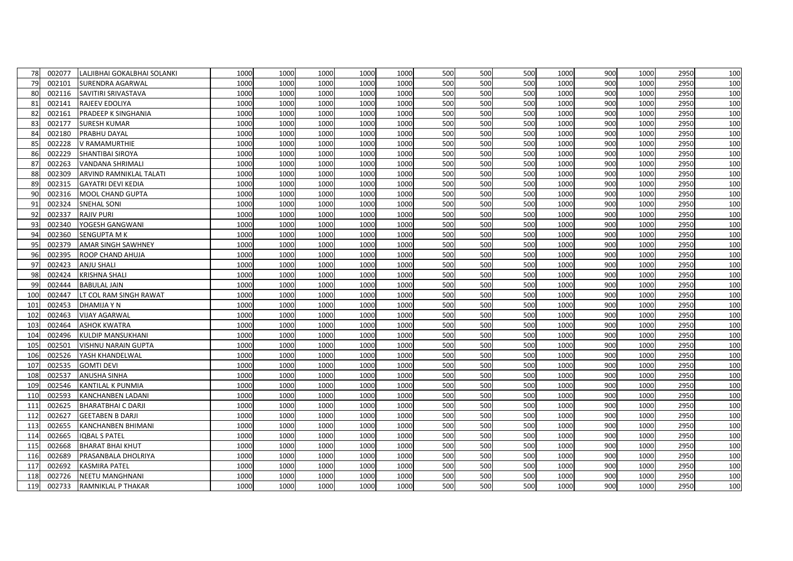| 78  | 002077 | LALJIBHAI GOKALBHAI SOLANKI | 1000 | 1000 | 1000 | 1000 | 1000 | 500 | 500 | 500 | 1000 | 900 | 1000 | 2950 | 100 |
|-----|--------|-----------------------------|------|------|------|------|------|-----|-----|-----|------|-----|------|------|-----|
| 79  | 002101 | <b>SURENDRA AGARWAL</b>     | 1000 | 1000 | 1000 | 1000 | 1000 | 500 | 500 | 500 | 1000 | 900 | 1000 | 2950 | 100 |
| 80  | 002116 | SAVITIRI SRIVASTAVA         | 1000 | 1000 | 1000 | 1000 | 1000 | 500 | 500 | 500 | 1000 | 900 | 1000 | 2950 | 100 |
| 81  | 002141 | RAJEEV EDOLIYA              | 1000 | 1000 | 1000 | 1000 | 1000 | 500 | 500 | 500 | 1000 | 900 | 1000 | 2950 | 100 |
| 82  | 002161 | PRADEEP K SINGHANIA         | 1000 | 1000 | 1000 | 1000 | 1000 | 500 | 500 | 500 | 1000 | 900 | 1000 | 2950 | 100 |
| 83  | 002177 | <b>SURESH KUMAR</b>         | 1000 | 1000 | 1000 | 1000 | 1000 | 500 | 500 | 500 | 1000 | 900 | 1000 | 2950 | 100 |
| 84  | 002180 | PRABHU DAYAL                | 1000 | 1000 | 1000 | 1000 | 1000 | 500 | 500 | 500 | 1000 | 900 | 1000 | 2950 | 100 |
| 85  | 002228 | V RAMAMURTHIE               | 1000 | 1000 | 1000 | 1000 | 1000 | 500 | 500 | 500 | 1000 | 900 | 1000 | 2950 | 100 |
| 86  | 002229 | SHANTIBAI SIROYA            | 1000 | 1000 | 1000 | 1000 | 1000 | 500 | 500 | 500 | 1000 | 900 | 1000 | 2950 | 100 |
| 87  | 002263 | <b>VANDANA SHRIMALI</b>     | 1000 | 1000 | 1000 | 1000 | 1000 | 500 | 500 | 500 | 1000 | 900 | 1000 | 2950 | 100 |
| 88  | 002309 | ARVIND RAMNIKLAL TALATI     | 1000 | 1000 | 1000 | 1000 | 1000 | 500 | 500 | 500 | 1000 | 900 | 1000 | 2950 | 100 |
| 89  | 002315 | <b>GAYATRI DEVI KEDIA</b>   | 1000 | 1000 | 1000 | 1000 | 1000 | 500 | 500 | 500 | 1000 | 900 | 1000 | 2950 | 100 |
| 90  | 002316 | MOOL CHAND GUPTA            | 1000 | 1000 | 1000 | 1000 | 1000 | 500 | 500 | 500 | 1000 | 900 | 1000 | 2950 | 100 |
| 91  | 002324 | <b>SNEHAL SONI</b>          | 1000 | 1000 | 1000 | 1000 | 1000 | 500 | 500 | 500 | 1000 | 900 | 1000 | 2950 | 100 |
| 92  | 002337 | <b>RAJIV PURI</b>           | 1000 | 1000 | 1000 | 1000 | 1000 | 500 | 500 | 500 | 1000 | 900 | 1000 | 2950 | 100 |
| 93  | 002340 | YOGESH GANGWANI             | 1000 | 1000 | 1000 | 1000 | 1000 | 500 | 500 | 500 | 1000 | 900 | 1000 | 2950 | 100 |
| 94  | 002360 | <b>SENGUPTA M K</b>         | 1000 | 1000 | 1000 | 1000 | 1000 | 500 | 500 | 500 | 1000 | 900 | 1000 | 2950 | 100 |
| 95  | 002379 | <b>AMAR SINGH SAWHNEY</b>   | 1000 | 1000 | 1000 | 1000 | 1000 | 500 | 500 | 500 | 1000 | 900 | 1000 | 2950 | 100 |
| 96  | 002395 | ROOP CHAND AHUJA            | 1000 | 1000 | 1000 | 1000 | 1000 | 500 | 500 | 500 | 1000 | 900 | 1000 | 2950 | 100 |
| 97  | 002423 | <b>ANJU SHALI</b>           | 1000 | 1000 | 1000 | 1000 | 1000 | 500 | 500 | 500 | 1000 | 900 | 1000 | 2950 | 100 |
| 98  | 002424 | <b>KRISHNA SHALI</b>        | 1000 | 1000 | 1000 | 1000 | 1000 | 500 | 500 | 500 | 1000 | 900 | 1000 | 2950 | 100 |
| 99  | 002444 | <b>BABULAL JAIN</b>         | 1000 | 1000 | 1000 | 1000 | 1000 | 500 | 500 | 500 | 1000 | 900 | 1000 | 2950 | 100 |
| 100 | 002447 | LT COL RAM SINGH RAWAT      | 1000 | 1000 | 1000 | 1000 | 1000 | 500 | 500 | 500 | 1000 | 900 | 1000 | 2950 | 100 |
| 101 | 002453 | <b>DHAMIJA Y N</b>          | 1000 | 1000 | 1000 | 1000 | 1000 | 500 | 500 | 500 | 1000 | 900 | 1000 | 2950 | 100 |
| 102 | 002463 | <b>VIJAY AGARWAL</b>        | 1000 | 1000 | 1000 | 1000 | 1000 | 500 | 500 | 500 | 1000 | 900 | 1000 | 2950 | 100 |
| 103 | 002464 | <b>ASHOK KWATRA</b>         | 1000 | 1000 | 1000 | 1000 | 1000 | 500 | 500 | 500 | 1000 | 900 | 1000 | 2950 | 100 |
| 104 | 002496 | <b>KULDIP MANSUKHANI</b>    | 1000 | 1000 | 1000 | 1000 | 1000 | 500 | 500 | 500 | 1000 | 900 | 1000 | 2950 | 100 |
| 105 | 002501 | <b>VISHNU NARAIN GUPTA</b>  | 1000 | 1000 | 1000 | 1000 | 1000 | 500 | 500 | 500 | 1000 | 900 | 1000 | 2950 | 100 |
| 106 | 002526 | YASH KHANDELWAL             | 1000 | 1000 | 1000 | 1000 | 1000 | 500 | 500 | 500 | 1000 | 900 | 1000 | 2950 | 100 |
| 107 | 002535 | <b>GOMTI DEVI</b>           | 1000 | 1000 | 1000 | 1000 | 1000 | 500 | 500 | 500 | 1000 | 900 | 1000 | 2950 | 100 |
| 108 | 002537 | <b>ANUSHA SINHA</b>         | 1000 | 1000 | 1000 | 1000 | 1000 | 500 | 500 | 500 | 1000 | 900 | 1000 | 2950 | 100 |
| 109 | 002546 | <b>KANTILAL K PUNMIA</b>    | 1000 | 1000 | 1000 | 1000 | 1000 | 500 | 500 | 500 | 1000 | 900 | 1000 | 2950 | 100 |
| 110 | 002593 | KANCHANBEN LADANI           | 1000 | 1000 | 1000 | 1000 | 1000 | 500 | 500 | 500 | 1000 | 900 | 1000 | 2950 | 100 |
| 111 | 002625 | <b>BHARATBHAI C DARJI</b>   | 1000 | 1000 | 1000 | 1000 | 1000 | 500 | 500 | 500 | 1000 | 900 | 1000 | 2950 | 100 |
| 112 | 002627 | <b>GEETABEN B DARJI</b>     | 1000 | 1000 | 1000 | 1000 | 1000 | 500 | 500 | 500 | 1000 | 900 | 1000 | 2950 | 100 |
| 113 | 002655 | <b>KANCHANBEN BHIMANI</b>   | 1000 | 1000 | 1000 | 1000 | 1000 | 500 | 500 | 500 | 1000 | 900 | 1000 | 2950 | 100 |
| 114 | 002665 | <b>IQBAL S PATEL</b>        | 1000 | 1000 | 1000 | 1000 | 1000 | 500 | 500 | 500 | 1000 | 900 | 1000 | 2950 | 100 |
| 115 | 002668 | <b>BHARAT BHAI KHUT</b>     | 1000 | 1000 | 1000 | 1000 | 1000 | 500 | 500 | 500 | 1000 | 900 | 1000 | 2950 | 100 |
| 116 | 002689 | PRASANBALA DHOLRIYA         | 1000 | 1000 | 1000 | 1000 | 1000 | 500 | 500 | 500 | 1000 | 900 | 1000 | 2950 | 100 |
| 117 | 002692 | <b>KASMIRA PATEL</b>        | 1000 | 1000 | 1000 | 1000 | 1000 | 500 | 500 | 500 | 1000 | 900 | 1000 | 2950 | 100 |
| 118 | 002726 | <b>NEETU MANGHNANI</b>      | 1000 | 1000 | 1000 | 1000 | 1000 | 500 | 500 | 500 | 1000 | 900 | 1000 | 2950 | 100 |
| 119 | 002733 | RAMNIKLAL P THAKAR          | 1000 | 1000 | 1000 | 1000 | 1000 | 500 | 500 | 500 | 1000 | 900 | 1000 | 2950 | 100 |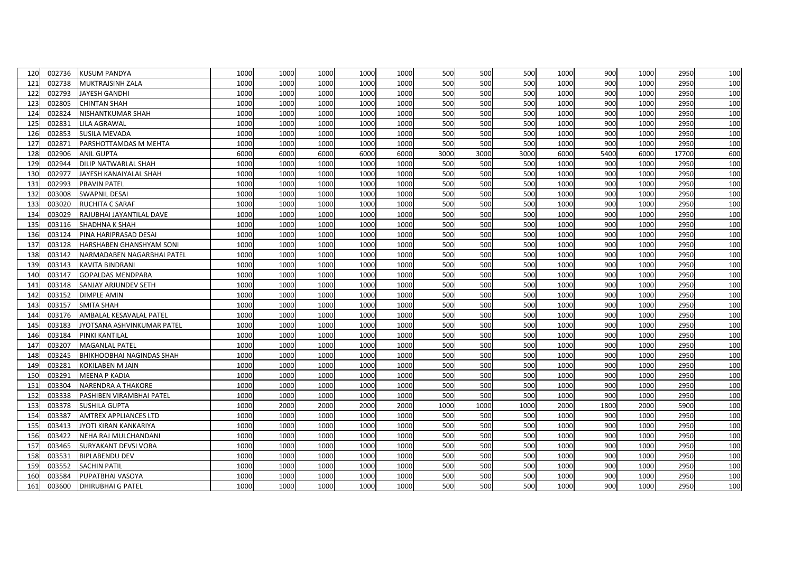| 120 | 002736 | <b>KUSUM PANDYA</b>              | 1000 | 1000 | 1000 | 1000 | 1000 | 500  | 500  | 500  | 1000 | 900  | 1000 | 2950  | 100 |
|-----|--------|----------------------------------|------|------|------|------|------|------|------|------|------|------|------|-------|-----|
| 121 | 002738 | MUKTRAJSINH ZALA                 | 1000 | 1000 | 1000 | 1000 | 1000 | 500  | 500  | 500  | 1000 | 900  | 1000 | 2950  | 100 |
| 122 | 002793 | <b>JAYESH GANDHI</b>             | 1000 | 1000 | 1000 | 1000 | 1000 | 500  | 500  | 500  | 1000 | 900  | 1000 | 2950  | 100 |
| 123 | 002805 | <b>CHINTAN SHAH</b>              | 1000 | 1000 | 1000 | 1000 | 1000 | 500  | 500  | 500  | 1000 | 900  | 1000 | 2950  | 100 |
| 124 | 002824 | NISHANTKUMAR SHAH                | 1000 | 1000 | 1000 | 1000 | 1000 | 500  | 500  | 500  | 1000 | 900  | 1000 | 2950  | 100 |
| 125 | 002831 | <b>LILA AGRAWAL</b>              | 1000 | 1000 | 1000 | 1000 | 1000 | 500  | 500  | 500  | 1000 | 900  | 1000 | 2950  | 100 |
| 126 | 002853 | <b>SUSILA MEVADA</b>             | 1000 | 1000 | 1000 | 1000 | 1000 | 500  | 500  | 500  | 1000 | 900  | 1000 | 2950  | 100 |
| 127 | 002871 | PARSHOTTAMDAS M MEHTA            | 1000 | 1000 | 1000 | 1000 | 1000 | 500  | 500  | 500  | 1000 | 900  | 1000 | 2950  | 100 |
| 128 | 002906 | <b>ANIL GUPTA</b>                | 6000 | 6000 | 6000 | 6000 | 6000 | 3000 | 3000 | 3000 | 6000 | 5400 | 6000 | 17700 | 600 |
| 129 | 002944 | <b>DILIP NATWARLAL SHAH</b>      | 1000 | 1000 | 1000 | 1000 | 1000 | 500  | 500  | 500  | 1000 | 900  | 1000 | 2950  | 100 |
| 130 | 002977 | JAYESH KANAIYALAL SHAH           | 1000 | 1000 | 1000 | 1000 | 1000 | 500  | 500  | 500  | 1000 | 900  | 1000 | 2950  | 100 |
| 131 | 002993 | <b>PRAVIN PATEL</b>              | 1000 | 1000 | 1000 | 1000 | 1000 | 500  | 500  | 500  | 1000 | 900  | 1000 | 2950  | 100 |
| 132 | 003008 | <b>SWAPNIL DESAI</b>             | 1000 | 1000 | 1000 | 1000 | 1000 | 500  | 500  | 500  | 1000 | 900  | 1000 | 2950  | 100 |
| 133 | 003020 | RUCHITA C SARAF                  | 1000 | 1000 | 1000 | 1000 | 1000 | 500  | 500  | 500  | 1000 | 900  | 1000 | 2950  | 100 |
| 134 | 003029 | RAJUBHAI JAYANTILAL DAVE         | 1000 | 1000 | 1000 | 1000 | 1000 | 500  | 500  | 500  | 1000 | 900  | 1000 | 2950  | 100 |
| 135 | 003116 | SHADHNA K SHAH                   | 1000 | 1000 | 1000 | 1000 | 1000 | 500  | 500  | 500  | 1000 | 900  | 1000 | 2950  | 100 |
| 136 | 003124 | PINA HARIPRASAD DESAI            | 1000 | 1000 | 1000 | 1000 | 1000 | 500  | 500  | 500  | 1000 | 900  | 1000 | 2950  | 100 |
| 137 | 003128 | HARSHABEN GHANSHYAM SONI         | 1000 | 1000 | 1000 | 1000 | 1000 | 500  | 500  | 500  | 1000 | 900  | 1000 | 2950  | 100 |
| 138 | 003142 | NARMADABEN NAGARBHAI PATEL       | 1000 | 1000 | 1000 | 1000 | 1000 | 500  | 500  | 500  | 1000 | 900  | 1000 | 2950  | 100 |
| 139 | 003143 | KAVITA BINDRANI                  | 1000 | 1000 | 1000 | 1000 | 1000 | 500  | 500  | 500  | 1000 | 900  | 1000 | 2950  | 100 |
| 140 | 003147 | GOPALDAS MENDPARA                | 1000 | 1000 | 1000 | 1000 | 1000 | 500  | 500  | 500  | 1000 | 900  | 1000 | 2950  | 100 |
| 141 | 003148 | SANJAY ARJUNDEV SETH             | 1000 | 1000 | 1000 | 1000 | 1000 | 500  | 500  | 500  | 1000 | 900  | 1000 | 2950  | 100 |
| 142 | 003152 | <b>DIMPLE AMIN</b>               | 1000 | 1000 | 1000 | 1000 | 1000 | 500  | 500  | 500  | 1000 | 900  | 1000 | 2950  | 100 |
| 143 | 003157 | <b>SMITA SHAH</b>                | 1000 | 1000 | 1000 | 1000 | 1000 | 500  | 500  | 500  | 1000 | 900  | 1000 | 2950  | 100 |
| 144 | 003176 | AMBALAL KESAVALAL PATEL          | 1000 | 1000 | 1000 | 1000 | 1000 | 500  | 500  | 500  | 1000 | 900  | 1000 | 2950  | 100 |
| 145 | 003183 | JYOTSANA ASHVINKUMAR PATEL       | 1000 | 1000 | 1000 | 1000 | 1000 | 500  | 500  | 500  | 1000 | 900  | 1000 | 2950  | 100 |
| 146 | 003184 | PINKI KANTILAL                   | 1000 | 1000 | 1000 | 1000 | 1000 | 500  | 500  | 500  | 1000 | 900  | 1000 | 2950  | 100 |
| 147 | 003207 | MAGANLAL PATEL                   | 1000 | 1000 | 1000 | 1000 | 1000 | 500  | 500  | 500  | 1000 | 900  | 1000 | 2950  | 100 |
| 148 | 003245 | <b>BHIKHOOBHAI NAGINDAS SHAH</b> | 1000 | 1000 | 1000 | 1000 | 1000 | 500  | 500  | 500  | 1000 | 900  | 1000 | 2950  | 100 |
| 149 | 003281 | <b>KOKILABEN M JAIN</b>          | 1000 | 1000 | 1000 | 1000 | 1000 | 500  | 500  | 500  | 1000 | 900  | 1000 | 2950  | 100 |
| 150 | 003291 | <b>MEENA P KADIA</b>             | 1000 | 1000 | 1000 | 1000 | 1000 | 500  | 500  | 500  | 1000 | 900  | 1000 | 2950  | 100 |
| 151 | 003304 | NARENDRA A THAKORE               | 1000 | 1000 | 1000 | 1000 | 1000 | 500  | 500  | 500  | 1000 | 900  | 1000 | 2950  | 100 |
| 152 | 003338 | PASHIBEN VIRAMBHAI PATEL         | 1000 | 1000 | 1000 | 1000 | 1000 | 500  | 500  | 500  | 1000 | 900  | 1000 | 2950  | 100 |
| 153 | 003378 | <b>SUSHILA GUPTA</b>             | 1000 | 2000 | 2000 | 2000 | 2000 | 1000 | 1000 | 1000 | 2000 | 1800 | 2000 | 5900  | 100 |
| 154 | 003387 | <b>AMTREX APPLIANCES LTD</b>     | 1000 | 1000 | 1000 | 1000 | 1000 | 500  | 500  | 500  | 1000 | 900  | 1000 | 2950  | 100 |
| 155 | 003413 | JYOTI KIRAN KANKARIYA            | 1000 | 1000 | 1000 | 1000 | 1000 | 500  | 500  | 500  | 1000 | 900  | 1000 | 2950  | 100 |
| 156 | 003422 | NEHA RAJ MULCHANDANI             | 1000 | 1000 | 1000 | 1000 | 1000 | 500  | 500  | 500  | 1000 | 900  | 1000 | 2950  | 100 |
| 157 | 003465 | <b>SURYAKANT DEVSI VORA</b>      | 1000 | 1000 | 1000 | 1000 | 1000 | 500  | 500  | 500  | 1000 | 900  | 1000 | 2950  | 100 |
| 158 | 003531 | <b>BIPLABENDU DEV</b>            | 1000 | 1000 | 1000 | 1000 | 1000 | 500  | 500  | 500  | 1000 | 900  | 1000 | 2950  | 100 |
| 159 | 003552 | <b>SACHIN PATIL</b>              | 1000 | 1000 | 1000 | 1000 | 1000 | 500  | 500  | 500  | 1000 | 900  | 1000 | 2950  | 100 |
| 160 | 003584 | PUPATBHAI VASOYA                 | 1000 | 1000 | 1000 | 1000 | 1000 | 500  | 500  | 500  | 1000 | 900  | 1000 | 2950  | 100 |
| 161 | 003600 | <b>DHIRUBHAI G PATEL</b>         | 1000 | 1000 | 1000 | 1000 | 1000 | 500  | 500  | 500  | 1000 | 900  | 1000 | 2950  | 100 |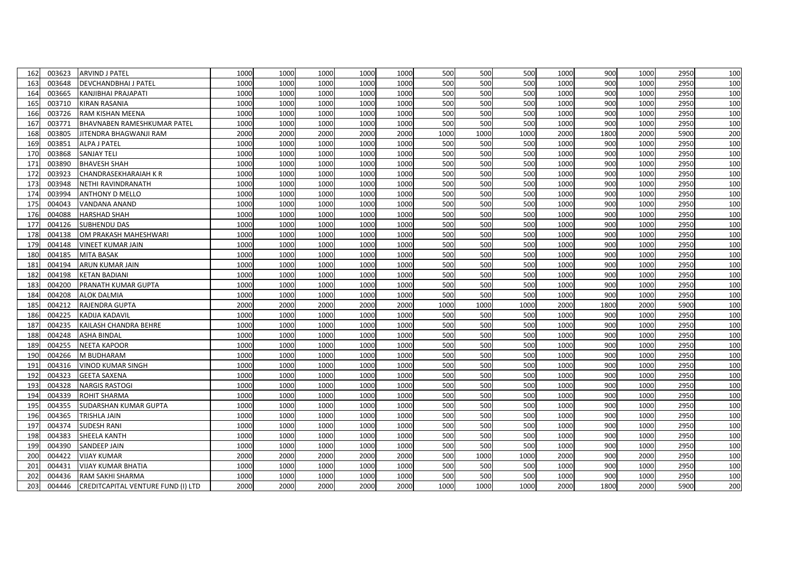| 162 | 003623 | <b>ARVIND J PATEL</b>              | 1000 | 1000 | 1000 | 1000 | 1000 | 500  | 500  | 500  | 1000 | 900  | 1000 | 2950 | 100 |
|-----|--------|------------------------------------|------|------|------|------|------|------|------|------|------|------|------|------|-----|
| 163 | 003648 | <b>DEVCHANDBHAI J PATEL</b>        | 1000 | 1000 | 1000 | 1000 | 1000 | 500  | 500  | 500  | 1000 | 900  | 1000 | 2950 | 100 |
| 164 | 003665 | KANJIBHAI PRAJAPATI                | 1000 | 1000 | 1000 | 1000 | 1000 | 500  | 500  | 500  | 1000 | 900  | 1000 | 2950 | 100 |
| 165 | 003710 | <b>KIRAN RASANIA</b>               | 1000 | 1000 | 1000 | 1000 | 1000 | 500  | 500  | 500  | 1000 | 900  | 1000 | 2950 | 100 |
| 166 | 003726 | RAM KISHAN MEENA                   | 1000 | 1000 | 1000 | 1000 | 1000 | 500  | 500  | 500  | 1000 | 900  | 1000 | 2950 | 100 |
| 167 | 003771 | <b>BHAVNABEN RAMESHKUMAR PATEL</b> | 1000 | 1000 | 1000 | 1000 | 1000 | 500  | 500  | 500  | 1000 | 900  | 1000 | 2950 | 100 |
| 168 | 003805 | JITENDRA BHAGWANJI RAM             | 2000 | 2000 | 2000 | 2000 | 2000 | 1000 | 1000 | 1000 | 2000 | 1800 | 2000 | 5900 | 200 |
| 169 | 003851 | <b>ALPA J PATEL</b>                | 1000 | 1000 | 1000 | 1000 | 1000 | 500  | 500  | 500  | 1000 | 900  | 1000 | 2950 | 100 |
| 170 | 003868 | <b>SANJAY TELI</b>                 | 1000 | 1000 | 1000 | 1000 | 1000 | 500  | 500  | 500  | 1000 | 900  | 1000 | 2950 | 100 |
| 171 | 003890 | <b>BHAVESH SHAH</b>                | 1000 | 1000 | 1000 | 1000 | 1000 | 500  | 500  | 500  | 1000 | 900  | 1000 | 2950 | 100 |
| 172 | 003923 | <b>CHANDRASEKHARAIAH K R</b>       | 1000 | 1000 | 1000 | 1000 | 1000 | 500  | 500  | 500  | 1000 | 900  | 1000 | 2950 | 100 |
| 173 | 003948 | NETHI RAVINDRANATH                 | 1000 | 1000 | 1000 | 1000 | 1000 | 500  | 500  | 500  | 1000 | 900  | 1000 | 2950 | 100 |
| 174 | 003994 | <b>ANTHONY D MELLO</b>             | 1000 | 1000 | 1000 | 1000 | 1000 | 500  | 500  | 500  | 1000 | 900  | 1000 | 2950 | 100 |
| 175 | 004043 | <b>VANDANA ANAND</b>               | 1000 | 1000 | 1000 | 1000 | 1000 | 500  | 500  | 500  | 1000 | 900  | 1000 | 2950 | 100 |
| 176 | 004088 | <b>HARSHAD SHAH</b>                | 1000 | 1000 | 1000 | 1000 | 1000 | 500  | 500  | 500  | 1000 | 900  | 1000 | 2950 | 100 |
| 177 | 004126 | <b>SUBHENDU DAS</b>                | 1000 | 1000 | 1000 | 1000 | 1000 | 500  | 500  | 500  | 1000 | 900  | 1000 | 2950 | 100 |
| 178 | 004138 | OM PRAKASH MAHESHWARI              | 1000 | 1000 | 1000 | 1000 | 1000 | 500  | 500  | 500  | 1000 | 900  | 1000 | 2950 | 100 |
| 179 | 004148 | <b>VINEET KUMAR JAIN</b>           | 1000 | 1000 | 1000 | 1000 | 1000 | 500  | 500  | 500  | 1000 | 900  | 1000 | 2950 | 100 |
| 180 | 004185 | <b>MITA BASAK</b>                  | 1000 | 1000 | 1000 | 1000 | 1000 | 500  | 500  | 500  | 1000 | 900  | 1000 | 2950 | 100 |
| 181 | 004194 | <b>ARUN KUMAR JAIN</b>             | 1000 | 1000 | 1000 | 1000 | 1000 | 500  | 500  | 500  | 1000 | 900  | 1000 | 2950 | 100 |
| 182 | 004198 | <b>KETAN BADIANI</b>               | 1000 | 1000 | 1000 | 1000 | 1000 | 500  | 500  | 500  | 1000 | 900  | 1000 | 2950 | 100 |
| 183 | 004200 | PRANATH KUMAR GUPTA                | 1000 | 1000 | 1000 | 1000 | 1000 | 500  | 500  | 500  | 1000 | 900  | 1000 | 2950 | 100 |
| 184 | 004208 | <b>ALOK DALMIA</b>                 | 1000 | 1000 | 1000 | 1000 | 1000 | 500  | 500  | 500  | 1000 | 900  | 1000 | 2950 | 100 |
| 185 | 004212 | <b>RAJENDRA GUPTA</b>              | 2000 | 2000 | 2000 | 2000 | 2000 | 1000 | 1000 | 1000 | 2000 | 1800 | 2000 | 5900 | 100 |
| 186 | 004225 | <b>KADIJA KADAVIL</b>              | 1000 | 1000 | 1000 | 1000 | 1000 | 500  | 500  | 500  | 1000 | 900  | 1000 | 2950 | 100 |
| 187 | 004235 | KAILASH CHANDRA BEHRE              | 1000 | 1000 | 1000 | 1000 | 1000 | 500  | 500  | 500  | 1000 | 900  | 1000 | 2950 | 100 |
| 188 | 004248 | <b>ASHA BINDAL</b>                 | 1000 | 1000 | 1000 | 1000 | 1000 | 500  | 500  | 500  | 1000 | 900  | 1000 | 2950 | 100 |
| 189 | 004255 | <b>NEETA KAPOOR</b>                | 1000 | 1000 | 1000 | 1000 | 1000 | 500  | 500  | 500  | 1000 | 900  | 1000 | 2950 | 100 |
| 190 | 004266 | M BUDHARAM                         | 1000 | 1000 | 1000 | 1000 | 1000 | 500  | 500  | 500  | 1000 | 900  | 1000 | 2950 | 100 |
| 191 | 004316 | <b>VINOD KUMAR SINGH</b>           | 1000 | 1000 | 1000 | 1000 | 1000 | 500  | 500  | 500  | 1000 | 900  | 1000 | 2950 | 100 |
| 192 | 004323 | <b>GEETA SAXENA</b>                | 1000 | 1000 | 1000 | 1000 | 1000 | 500  | 500  | 500  | 1000 | 900  | 1000 | 2950 | 100 |
| 193 | 004328 | <b>NARGIS RASTOGI</b>              | 1000 | 1000 | 1000 | 1000 | 1000 | 500  | 500  | 500  | 1000 | 900  | 1000 | 2950 | 100 |
| 194 | 004339 | <b>ROHIT SHARMA</b>                | 1000 | 1000 | 1000 | 1000 | 1000 | 500  | 500  | 500  | 1000 | 900  | 1000 | 2950 | 100 |
| 195 | 004355 | SUDARSHAN KUMAR GUPTA              | 1000 | 1000 | 1000 | 1000 | 1000 | 500  | 500  | 500  | 1000 | 900  | 1000 | 2950 | 100 |
| 196 | 004365 | TRISHLA JAIN                       | 1000 | 1000 | 1000 | 1000 | 1000 | 500  | 500  | 500  | 1000 | 900  | 1000 | 2950 | 100 |
| 197 | 004374 | <b>SUDESH RANI</b>                 | 1000 | 1000 | 1000 | 1000 | 1000 | 500  | 500  | 500  | 1000 | 900  | 1000 | 2950 | 100 |
| 198 | 004383 | <b>SHEELA KANTH</b>                | 1000 | 1000 | 1000 | 1000 | 1000 | 500  | 500  | 500  | 1000 | 900  | 1000 | 2950 | 100 |
| 199 | 004390 | <b>SANDEEP JAIN</b>                | 1000 | 1000 | 1000 | 1000 | 1000 | 500  | 500  | 500  | 1000 | 900  | 1000 | 2950 | 100 |
| 200 | 004422 | <b>VIJAY KUMAR</b>                 | 2000 | 2000 | 2000 | 2000 | 2000 | 500  | 1000 | 1000 | 2000 | 900  | 2000 | 2950 | 100 |
| 201 | 004431 | <b>VIJAY KUMAR BHATIA</b>          | 1000 | 1000 | 1000 | 1000 | 1000 | 500  | 500  | 500  | 1000 | 900  | 1000 | 2950 | 100 |
| 202 | 004436 | RAM SAKHI SHARMA                   | 1000 | 1000 | 1000 | 1000 | 1000 | 500  | 500  | 500  | 1000 | 900  | 1000 | 2950 | 100 |
| 203 | 004446 | CREDITCAPITAL VENTURE FUND (I) LTD | 2000 | 2000 | 2000 | 2000 | 2000 | 1000 | 1000 | 1000 | 2000 | 1800 | 2000 | 5900 | 200 |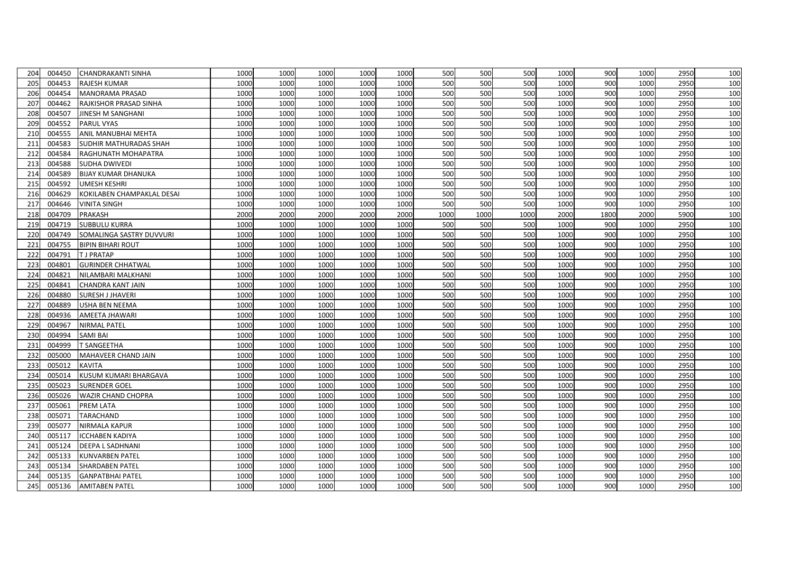| 204 | 004450 | CHANDRAKANTI SINHA            | 1000 | 1000 | 1000 | 1000 | 1000 | 500  | 500  | 500  | 1000 | 900  | 1000 | 2950 | 100 |
|-----|--------|-------------------------------|------|------|------|------|------|------|------|------|------|------|------|------|-----|
| 205 | 004453 | <b>RAJESH KUMAR</b>           | 1000 | 1000 | 1000 | 1000 | 1000 | 500  | 500  | 500  | 1000 | 900  | 1000 | 2950 | 100 |
| 206 | 004454 | MANORAMA PRASAD               | 1000 | 1000 | 1000 | 1000 | 1000 | 500  | 500  | 500  | 1000 | 900  | 1000 | 2950 | 100 |
| 207 | 004462 | RAJKISHOR PRASAD SINHA        | 1000 | 1000 | 1000 | 1000 | 1000 | 500  | 500  | 500  | 1000 | 900  | 1000 | 2950 | 100 |
| 208 | 004507 | JINESH M SANGHANI             | 1000 | 1000 | 1000 | 1000 | 1000 | 500  | 500  | 500  | 1000 | 900  | 1000 | 2950 | 100 |
| 209 | 004552 | PARUL VYAS                    | 1000 | 1000 | 1000 | 1000 | 1000 | 500  | 500  | 500  | 1000 | 900  | 1000 | 2950 | 100 |
| 210 | 004555 | ANIL MANUBHAI MEHTA           | 1000 | 1000 | 1000 | 1000 | 1000 | 500  | 500  | 500  | 1000 | 900  | 1000 | 2950 | 100 |
| 211 | 004583 | <b>SUDHIR MATHURADAS SHAH</b> | 1000 | 1000 | 1000 | 1000 | 1000 | 500  | 500  | 500  | 1000 | 900  | 1000 | 2950 | 100 |
| 212 | 004584 | RAGHUNATH MOHAPATRA           | 1000 | 1000 | 1000 | 1000 | 1000 | 500  | 500  | 500  | 1000 | 900  | 1000 | 2950 | 100 |
| 213 | 004588 | <b>SUDHA DWIVEDI</b>          | 1000 | 1000 | 1000 | 1000 | 1000 | 500  | 500  | 500  | 1000 | 900  | 1000 | 2950 | 100 |
| 214 | 004589 | <b>BIJAY KUMAR DHANUKA</b>    | 1000 | 1000 | 1000 | 1000 | 1000 | 500  | 500  | 500  | 1000 | 900  | 1000 | 2950 | 100 |
| 215 | 004592 | UMESH KESHRI                  | 1000 | 1000 | 1000 | 1000 | 1000 | 500  | 500  | 500  | 1000 | 900  | 1000 | 2950 | 100 |
| 216 | 004629 | KOKILABEN CHAMPAKLAL DESAI    | 1000 | 1000 | 1000 | 1000 | 1000 | 500  | 500  | 500  | 1000 | 900  | 1000 | 2950 | 100 |
| 217 | 004646 | VINITA SINGH                  | 1000 | 1000 | 1000 | 1000 | 1000 | 500  | 500  | 500  | 1000 | 900  | 1000 | 2950 | 100 |
| 218 | 004709 | <b>PRAKASH</b>                | 2000 | 2000 | 2000 | 2000 | 2000 | 1000 | 1000 | 1000 | 2000 | 1800 | 2000 | 5900 | 100 |
| 219 | 004719 | <b>SUBBULU KURRA</b>          | 1000 | 1000 | 1000 | 1000 | 1000 | 500  | 500  | 500  | 1000 | 900  | 1000 | 2950 | 100 |
| 220 | 004749 | SOMALINGA SASTRY DUVVURI      | 1000 | 1000 | 1000 | 1000 | 1000 | 500  | 500  | 500  | 1000 | 900  | 1000 | 2950 | 100 |
| 221 | 004755 | <b>BIPIN BIHARI ROUT</b>      | 1000 | 1000 | 1000 | 1000 | 1000 | 500  | 500  | 500  | 1000 | 900  | 1000 | 2950 | 100 |
| 222 | 004791 | <b>TJ PRATAP</b>              | 1000 | 1000 | 1000 | 1000 | 1000 | 500  | 500  | 500  | 1000 | 900  | 1000 | 2950 | 100 |
| 223 | 004801 | <b>GURINDER CHHATWAL</b>      | 1000 | 1000 | 1000 | 1000 | 1000 | 500  | 500  | 500  | 1000 | 900  | 1000 | 2950 | 100 |
| 224 | 004821 | NILAMBARI MALKHANI            | 1000 | 1000 | 1000 | 1000 | 1000 | 500  | 500  | 500  | 1000 | 900  | 1000 | 2950 | 100 |
| 225 | 004841 | CHANDRA KANT JAIN             | 1000 | 1000 | 1000 | 1000 | 1000 | 500  | 500  | 500  | 1000 | 900  | 1000 | 2950 | 100 |
| 226 | 004880 | SURESH J JHAVERI              | 1000 | 1000 | 1000 | 1000 | 1000 | 500  | 500  | 500  | 1000 | 900  | 1000 | 2950 | 100 |
| 227 | 004889 | <b>USHA BEN NEEMA</b>         | 1000 | 1000 | 1000 | 1000 | 1000 | 500  | 500  | 500  | 1000 | 900  | 1000 | 2950 | 100 |
| 228 | 004936 | AMEETA JHAWARI                | 1000 | 1000 | 1000 | 1000 | 1000 | 500  | 500  | 500  | 1000 | 900  | 1000 | 2950 | 100 |
| 229 | 004967 | NIRMAL PATEL                  | 1000 | 1000 | 1000 | 1000 | 1000 | 500  | 500  | 500  | 1000 | 900  | 1000 | 2950 | 100 |
| 230 | 004994 | SAMI BAI                      | 1000 | 1000 | 1000 | 1000 | 1000 | 500  | 500  | 500  | 1000 | 900  | 1000 | 2950 | 100 |
| 231 | 004999 | T SANGEETHA                   | 1000 | 1000 | 1000 | 1000 | 1000 | 500  | 500  | 500  | 1000 | 900  | 1000 | 2950 | 100 |
| 232 | 005000 | MAHAVEER CHAND JAIN           | 1000 | 1000 | 1000 | 1000 | 1000 | 500  | 500  | 500  | 1000 | 900  | 1000 | 2950 | 100 |
| 233 | 005012 | <b>KAVITA</b>                 | 1000 | 1000 | 1000 | 1000 | 1000 | 500  | 500  | 500  | 1000 | 900  | 1000 | 2950 | 100 |
| 234 | 005014 | KUSUM KUMARI BHARGAVA         | 1000 | 1000 | 1000 | 1000 | 1000 | 500  | 500  | 500  | 1000 | 900  | 1000 | 2950 | 100 |
| 235 | 005023 | <b>SURENDER GOEL</b>          | 1000 | 1000 | 1000 | 1000 | 1000 | 500  | 500  | 500  | 1000 | 900  | 1000 | 2950 | 100 |
| 236 | 005026 | <b>WAZIR CHAND CHOPRA</b>     | 1000 | 1000 | 1000 | 1000 | 1000 | 500  | 500  | 500  | 1000 | 900  | 1000 | 2950 | 100 |
| 237 | 005061 | PREM LATA                     | 1000 | 1000 | 1000 | 1000 | 1000 | 500  | 500  | 500  | 1000 | 900  | 1000 | 2950 | 100 |
| 238 | 005071 | TARACHAND                     | 1000 | 1000 | 1000 | 1000 | 1000 | 500  | 500  | 500  | 1000 | 900  | 1000 | 2950 | 100 |
| 239 | 005077 | NIRMALA KAPUR                 | 1000 | 1000 | 1000 | 1000 | 1000 | 500  | 500  | 500  | 1000 | 900  | 1000 | 2950 | 100 |
| 240 | 005117 | <b>ICCHABEN KADIYA</b>        | 1000 | 1000 | 1000 | 1000 | 1000 | 500  | 500  | 500  | 1000 | 900  | 1000 | 2950 | 100 |
| 241 | 005124 | DEEPA L SADHNANI              | 1000 | 1000 | 1000 | 1000 | 1000 | 500  | 500  | 500  | 1000 | 900  | 1000 | 2950 | 100 |
| 242 | 005133 | <b>KUNVARBEN PATEL</b>        | 1000 | 1000 | 1000 | 1000 | 1000 | 500  | 500  | 500  | 1000 | 900  | 1000 | 2950 | 100 |
| 243 | 005134 | <b>SHARDABEN PATEL</b>        | 1000 | 1000 | 1000 | 1000 | 1000 | 500  | 500  | 500  | 1000 | 900  | 1000 | 2950 | 100 |
| 244 | 005135 | <b>GANPATBHAI PATEL</b>       | 1000 | 1000 | 1000 | 1000 | 1000 | 500  | 500  | 500  | 1000 | 900  | 1000 | 2950 | 100 |
| 245 | 005136 | <b>AMITABEN PATEL</b>         | 1000 | 1000 | 1000 | 1000 | 1000 | 500  | 500  | 500  | 1000 | 900  | 1000 | 2950 | 100 |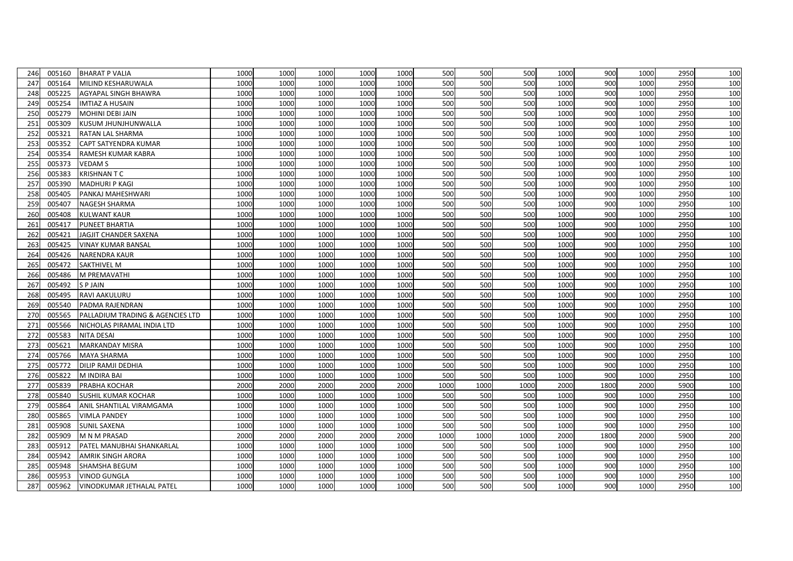| 246 | 005160 | <b>BHARAT P VALIA</b>            | 1000 | 1000 | 1000 | 1000 | 1000 | 500  | 500  | 500  | 1000 | 900  | 1000 | 2950 | 100 |
|-----|--------|----------------------------------|------|------|------|------|------|------|------|------|------|------|------|------|-----|
| 247 | 005164 | MILIND KESHARUWALA               | 1000 | 1000 | 1000 | 1000 | 1000 | 500  | 500  | 500  | 1000 | 900  | 1000 | 2950 | 100 |
| 248 | 005225 | AGYAPAL SINGH BHAWRA             | 1000 | 1000 | 1000 | 1000 | 1000 | 500  | 500  | 500  | 1000 | 900  | 1000 | 2950 | 100 |
| 249 | 005254 | IMTIAZ A HUSAIN                  | 1000 | 1000 | 1000 | 1000 | 1000 | 500  | 500  | 500  | 1000 | 900  | 1000 | 2950 | 100 |
| 250 | 005279 | MOHINI DEBI JAIN                 | 1000 | 1000 | 1000 | 1000 | 1000 | 500  | 500  | 500  | 1000 | 900  | 1000 | 2950 | 100 |
| 251 | 005309 | KUSUM JHUNJHUNWALLA              | 1000 | 1000 | 1000 | 1000 | 1000 | 500  | 500  | 500  | 1000 | 900  | 1000 | 2950 | 100 |
| 252 | 005321 | RATAN LAL SHARMA                 | 1000 | 1000 | 1000 | 1000 | 1000 | 500  | 500  | 500  | 1000 | 900  | 1000 | 2950 | 100 |
| 253 | 005352 | CAPT SATYENDRA KUMAR             | 1000 | 1000 | 1000 | 1000 | 1000 | 500  | 500  | 500  | 1000 | 900  | 1000 | 2950 | 100 |
| 254 | 005354 | RAMESH KUMAR KABRA               | 1000 | 1000 | 1000 | 1000 | 1000 | 500  | 500  | 500  | 1000 | 900  | 1000 | 2950 | 100 |
| 255 | 005373 | <b>VEDAM S</b>                   | 1000 | 1000 | 1000 | 1000 | 1000 | 500  | 500  | 500  | 1000 | 900  | 1000 | 2950 | 100 |
| 256 | 005383 | <b>KRISHNANTC</b>                | 1000 | 1000 | 1000 | 1000 | 1000 | 500  | 500  | 500  | 1000 | 900  | 1000 | 2950 | 100 |
| 257 | 005390 | <b>MADHURI P KAGI</b>            | 1000 | 1000 | 1000 | 1000 | 1000 | 500  | 500  | 500  | 1000 | 900  | 1000 | 2950 | 100 |
| 258 | 005405 | PANKAJ MAHESHWARI                | 1000 | 1000 | 1000 | 1000 | 1000 | 500  | 500  | 500  | 1000 | 900  | 1000 | 2950 | 100 |
| 259 | 005407 | NAGESH SHARMA                    | 1000 | 1000 | 1000 | 1000 | 1000 | 500  | 500  | 500  | 1000 | 900  | 1000 | 2950 | 100 |
| 260 | 005408 | <b>KULWANT KAUR</b>              | 1000 | 1000 | 1000 | 1000 | 1000 | 500  | 500  | 500  | 1000 | 900  | 1000 | 2950 | 100 |
| 261 | 005417 | <b>PUNEET BHARTIA</b>            | 1000 | 1000 | 1000 | 1000 | 1000 | 500  | 500  | 500  | 1000 | 900  | 1000 | 2950 | 100 |
| 262 | 005421 | JAGJIT CHANDER SAXENA            | 1000 | 1000 | 1000 | 1000 | 1000 | 500  | 500  | 500  | 1000 | 900  | 1000 | 2950 | 100 |
| 263 | 005425 | VINAY KUMAR BANSAL               | 1000 | 1000 | 1000 | 1000 | 1000 | 500  | 500  | 500  | 1000 | 900  | 1000 | 2950 | 100 |
| 264 | 005426 | <b>NARENDRA KAUR</b>             | 1000 | 1000 | 1000 | 1000 | 1000 | 500  | 500  | 500  | 1000 | 900  | 1000 | 2950 | 100 |
| 265 | 005472 | <b>SAKTHIVEL M</b>               | 1000 | 1000 | 1000 | 1000 | 1000 | 500  | 500  | 500  | 1000 | 900  | 1000 | 2950 | 100 |
| 266 | 005486 | M PREMAVATHI                     | 1000 | 1000 | 1000 | 1000 | 1000 | 500  | 500  | 500  | 1000 | 900  | 1000 | 2950 | 100 |
| 267 | 005492 | <b>SPJAIN</b>                    | 1000 | 1000 | 1000 | 1000 | 1000 | 500  | 500  | 500  | 1000 | 900  | 1000 | 2950 | 100 |
| 268 | 005495 | RAVI AAKULURU                    | 1000 | 1000 | 1000 | 1000 | 1000 | 500  | 500  | 500  | 1000 | 900  | 1000 | 2950 | 100 |
| 269 | 005540 | PADMA RAJENDRAN                  | 1000 | 1000 | 1000 | 1000 | 1000 | 500  | 500  | 500  | 1000 | 900  | 1000 | 2950 | 100 |
| 270 | 005565 | PALLADIUM TRADING & AGENCIES LTD | 1000 | 1000 | 1000 | 1000 | 1000 | 500  | 500  | 500  | 1000 | 900  | 1000 | 2950 | 100 |
| 271 | 005566 | NICHOLAS PIRAMAL INDIA LTD       | 1000 | 1000 | 1000 | 1000 | 1000 | 500  | 500  | 500  | 1000 | 900  | 1000 | 2950 | 100 |
| 272 | 005583 | NITA DESAI                       | 1000 | 1000 | 1000 | 1000 | 1000 | 500  | 500  | 500  | 1000 | 900  | 1000 | 2950 | 100 |
| 273 | 005621 | <b>MARKANDAY MISRA</b>           | 1000 | 1000 | 1000 | 1000 | 1000 | 500  | 500  | 500  | 1000 | 900  | 1000 | 2950 | 100 |
| 274 | 005766 | <b>MAYA SHARMA</b>               | 1000 | 1000 | 1000 | 1000 | 1000 | 500  | 500  | 500  | 1000 | 900  | 1000 | 2950 | 100 |
| 275 | 005772 | DILIP RAMJI DEDHIA               | 1000 | 1000 | 1000 | 1000 | 1000 | 500  | 500  | 500  | 1000 | 900  | 1000 | 2950 | 100 |
| 276 | 005822 | M INDIRA BAI                     | 1000 | 1000 | 1000 | 1000 | 1000 | 500  | 500  | 500  | 1000 | 900  | 1000 | 2950 | 100 |
| 277 | 005839 | PRABHA KOCHAR                    | 2000 | 2000 | 2000 | 2000 | 2000 | 1000 | 1000 | 1000 | 2000 | 1800 | 2000 | 5900 | 100 |
| 278 | 005840 | SUSHIL KUMAR KOCHAR              | 1000 | 1000 | 1000 | 1000 | 1000 | 500  | 500  | 500  | 1000 | 900  | 1000 | 2950 | 100 |
| 279 | 005864 | ANIL SHANTILAL VIRAMGAMA         | 1000 | 1000 | 1000 | 1000 | 1000 | 500  | 500  | 500  | 1000 | 900  | 1000 | 2950 | 100 |
| 280 | 005865 | <b>VIMLA PANDEY</b>              | 1000 | 1000 | 1000 | 1000 | 1000 | 500  | 500  | 500  | 1000 | 900  | 1000 | 2950 | 100 |
| 281 | 005908 | SUNIL SAXENA                     | 1000 | 1000 | 1000 | 1000 | 1000 | 500  | 500  | 500  | 1000 | 900  | 1000 | 2950 | 100 |
| 282 | 005909 | M N M PRASAD                     | 2000 | 2000 | 2000 | 2000 | 2000 | 1000 | 1000 | 1000 | 2000 | 1800 | 2000 | 5900 | 200 |
| 283 | 005912 | PATEL MANUBHAI SHANKARLAL        | 1000 | 1000 | 1000 | 1000 | 1000 | 500  | 500  | 500  | 1000 | 900  | 1000 | 2950 | 100 |
| 284 | 005942 | <b>AMRIK SINGH ARORA</b>         | 1000 | 1000 | 1000 | 1000 | 1000 | 500  | 500  | 500  | 1000 | 900  | 1000 | 2950 | 100 |
| 285 | 005948 | SHAMSHA BEGUM                    | 1000 | 1000 | 1000 | 1000 | 1000 | 500  | 500  | 500  | 1000 | 900  | 1000 | 2950 | 100 |
| 286 | 005953 | <b>VINOD GUNGLA</b>              | 1000 | 1000 | 1000 | 1000 | 1000 | 500  | 500  | 500  | 1000 | 900  | 1000 | 2950 | 100 |
| 287 | 005962 | VINODKUMAR JETHALAL PATEL        | 1000 | 1000 | 1000 | 1000 | 1000 | 500  | 500  | 500  | 1000 | 900  | 1000 | 2950 | 100 |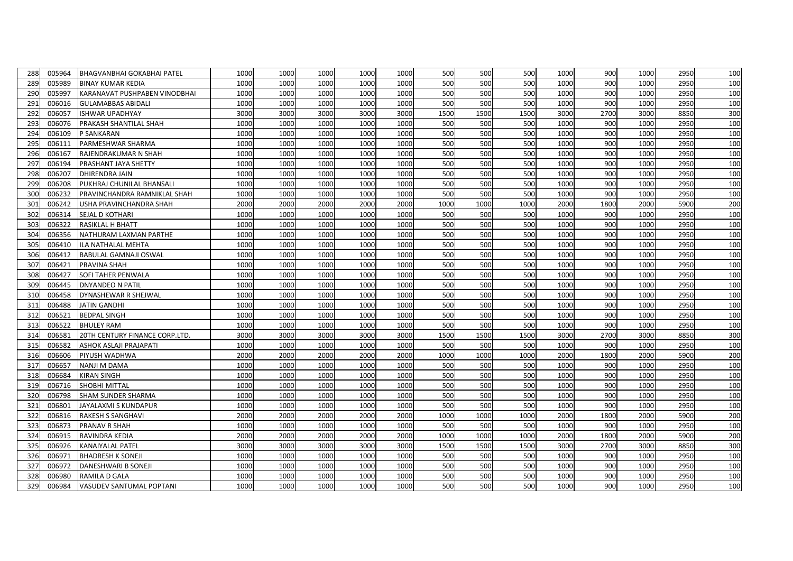| 288             | 005964 | BHAGVANBHAI GOKABHAI PATEL     | 1000 | 1000 | 1000 | 1000 | 1000 | 500  | 500  | 500  | 1000 | 900  | 1000 | 2950 | 100 |
|-----------------|--------|--------------------------------|------|------|------|------|------|------|------|------|------|------|------|------|-----|
| 289             | 005989 | <b>BINAY KUMAR KEDIA</b>       | 1000 | 1000 | 1000 | 1000 | 1000 | 500  | 500  | 500  | 1000 | 900  | 1000 | 2950 | 100 |
| 290             | 005997 | KARANAVAT PUSHPABEN VINODBHAI  | 1000 | 1000 | 1000 | 1000 | 1000 | 500  | 500  | 500  | 1000 | 900  | 1000 | 2950 | 100 |
| 291             | 006016 | <b>GULAMABBAS ABIDALI</b>      | 1000 | 1000 | 1000 | 1000 | 1000 | 500  | 500  | 500  | 1000 | 900  | 1000 | 2950 | 100 |
| 292             | 006057 | ISHWAR UPADHYAY                | 3000 | 3000 | 3000 | 3000 | 3000 | 1500 | 1500 | 1500 | 3000 | 2700 | 3000 | 8850 | 300 |
| 293             | 006076 | PRAKASH SHANTILAL SHAH         | 1000 | 1000 | 1000 | 1000 | 1000 | 500  | 500  | 500  | 1000 | 900  | 1000 | 2950 | 100 |
| 294             | 006109 | P SANKARAN                     | 1000 | 1000 | 1000 | 1000 | 1000 | 500  | 500  | 500  | 1000 | 900  | 1000 | 2950 | 100 |
| 295             | 006111 | PARMESHWAR SHARMA              | 1000 | 1000 | 1000 | 1000 | 1000 | 500  | 500  | 500  | 1000 | 900  | 1000 | 2950 | 100 |
| 296             | 006167 | RAJENDRAKUMAR N SHAH           | 1000 | 1000 | 1000 | 1000 | 1000 | 500  | 500  | 500  | 1000 | 900  | 1000 | 2950 | 100 |
| 297             | 006194 | PRASHANT JAYA SHETTY           | 1000 | 1000 | 1000 | 1000 | 1000 | 500  | 500  | 500  | 1000 | 900  | 1000 | 2950 | 100 |
| 298             | 006207 | DHIRENDRA JAIN                 | 1000 | 1000 | 1000 | 1000 | 1000 | 500  | 500  | 500  | 1000 | 900  | 1000 | 2950 | 100 |
| 299             | 006208 | PUKHRAJ CHUNILAL BHANSALI      | 1000 | 1000 | 1000 | 1000 | 1000 | 500  | 500  | 500  | 1000 | 900  | 1000 | 2950 | 100 |
| 300             | 006232 | PRAVINCHANDRA RAMNIKLAL SHAH   | 1000 | 1000 | 1000 | 1000 | 1000 | 500  | 500  | 500  | 1000 | 900  | 1000 | 2950 | 100 |
| 301             | 006242 | USHA PRAVINCHANDRA SHAH        | 2000 | 2000 | 2000 | 2000 | 2000 | 1000 | 1000 | 1000 | 2000 | 1800 | 2000 | 5900 | 200 |
| 302             | 006314 | SEJAL D KOTHARI                | 1000 | 1000 | 1000 | 1000 | 1000 | 500  | 500  | 500  | 1000 | 900  | 1000 | 2950 | 100 |
| 303             | 006322 | RASIKLAL H BHATT               | 1000 | 1000 | 1000 | 1000 | 1000 | 500  | 500  | 500  | 1000 | 900  | 1000 | 2950 | 100 |
| 30 <sub>4</sub> | 006356 | NATHURAM LAXMAN PARTHE         | 1000 | 1000 | 1000 | 1000 | 1000 | 500  | 500  | 500  | 1000 | 900  | 1000 | 2950 | 100 |
| 305             | 006410 | ILA NATHALAL MEHTA             | 1000 | 1000 | 1000 | 1000 | 1000 | 500  | 500  | 500  | 1000 | 900  | 1000 | 2950 | 100 |
| 306             | 006412 | <b>BABULAL GAMNAJI OSWAL</b>   | 1000 | 1000 | 1000 | 1000 | 1000 | 500  | 500  | 500  | 1000 | 900  | 1000 | 2950 | 100 |
| 307             | 006421 | <b>PRAVINA SHAH</b>            | 1000 | 1000 | 1000 | 1000 | 1000 | 500  | 500  | 500  | 1000 | 900  | 1000 | 2950 | 100 |
| 308             | 006427 | SOFI TAHER PENWALA             | 1000 | 1000 | 1000 | 1000 | 1000 | 500  | 500  | 500  | 1000 | 900  | 1000 | 2950 | 100 |
| 309             | 006445 | DNYANDEO N PATIL               | 1000 | 1000 | 1000 | 1000 | 1000 | 500  | 500  | 500  | 1000 | 900  | 1000 | 2950 | 100 |
| 310             | 006458 | DYNASHEWAR R SHEJWAL           | 1000 | 1000 | 1000 | 1000 | 1000 | 500  | 500  | 500  | 1000 | 900  | 1000 | 2950 | 100 |
| 311             | 006488 | <b>JATIN GANDHI</b>            | 1000 | 1000 | 1000 | 1000 | 1000 | 500  | 500  | 500  | 1000 | 900  | 1000 | 2950 | 100 |
| 312             | 006521 | <b>BEDPAL SINGH</b>            | 1000 | 1000 | 1000 | 1000 | 1000 | 500  | 500  | 500  | 1000 | 900  | 1000 | 2950 | 100 |
| 313             | 006522 | <b>BHULEY RAM</b>              | 1000 | 1000 | 1000 | 1000 | 1000 | 500  | 500  | 500  | 1000 | 900  | 1000 | 2950 | 100 |
| 314             | 006581 | 20TH CENTURY FINANCE CORP.LTD. | 3000 | 3000 | 3000 | 3000 | 3000 | 1500 | 1500 | 1500 | 3000 | 2700 | 3000 | 8850 | 300 |
| 315             | 006582 | <b>ASHOK ASLAJI PRAJAPATI</b>  | 1000 | 1000 | 1000 | 1000 | 1000 | 500  | 500  | 500  | 1000 | 900  | 1000 | 2950 | 100 |
| 316             | 006606 | PIYUSH WADHWA                  | 2000 | 2000 | 2000 | 2000 | 2000 | 1000 | 1000 | 1000 | 2000 | 1800 | 2000 | 5900 | 200 |
| 317             | 006657 | NANJI M DAMA                   | 1000 | 1000 | 1000 | 1000 | 1000 | 500  | 500  | 500  | 1000 | 900  | 1000 | 2950 | 100 |
| 318             | 006684 | KIRAN SINGH                    | 1000 | 1000 | 1000 | 1000 | 1000 | 500  | 500  | 500  | 1000 | 900  | 1000 | 2950 | 100 |
| 319             | 006716 | SHOBHI MITTAL                  | 1000 | 1000 | 1000 | 1000 | 1000 | 500  | 500  | 500  | 1000 | 900  | 1000 | 2950 | 100 |
| 320             | 006798 | <b>SHAM SUNDER SHARMA</b>      | 1000 | 1000 | 1000 | 1000 | 1000 | 500  | 500  | 500  | 1000 | 900  | 1000 | 2950 | 100 |
| 321             | 006801 | JAYALAXMI S KUNDAPUR           | 1000 | 1000 | 1000 | 1000 | 1000 | 500  | 500  | 500  | 1000 | 900  | 1000 | 2950 | 100 |
| 322             | 006816 | <b>RAKESH S SANGHAVI</b>       | 2000 | 2000 | 2000 | 2000 | 2000 | 1000 | 1000 | 1000 | 2000 | 1800 | 2000 | 5900 | 200 |
| 323             | 006873 | PRANAV R SHAH                  | 1000 | 1000 | 1000 | 1000 | 1000 | 500  | 500  | 500  | 1000 | 900  | 1000 | 2950 | 100 |
| 324             | 006915 | RAVINDRA KEDIA                 | 2000 | 2000 | 2000 | 2000 | 2000 | 1000 | 1000 | 1000 | 2000 | 1800 | 2000 | 5900 | 200 |
| 325             | 006926 | KANAIYALAL PATEL               | 3000 | 3000 | 3000 | 3000 | 3000 | 1500 | 1500 | 1500 | 3000 | 2700 | 3000 | 8850 | 300 |
| 326             | 006971 | <b>BHADRESH K SONEJI</b>       | 1000 | 1000 | 1000 | 1000 | 1000 | 500  | 500  | 500  | 1000 | 900  | 1000 | 2950 | 100 |
| 327             | 006972 | DANESHWARI B SONEJI            | 1000 | 1000 | 1000 | 1000 | 1000 | 500  | 500  | 500  | 1000 | 900  | 1000 | 2950 | 100 |
| 328             | 006980 | RAMILA D GALA                  | 1000 | 1000 | 1000 | 1000 | 1000 | 500  | 500  | 500  | 1000 | 900  | 1000 | 2950 | 100 |
| 329             | 006984 | VASUDEV SANTUMAL POPTANI       | 1000 | 1000 | 1000 | 1000 | 1000 | 500  | 500  | 500  | 1000 | 900  | 1000 | 2950 | 100 |